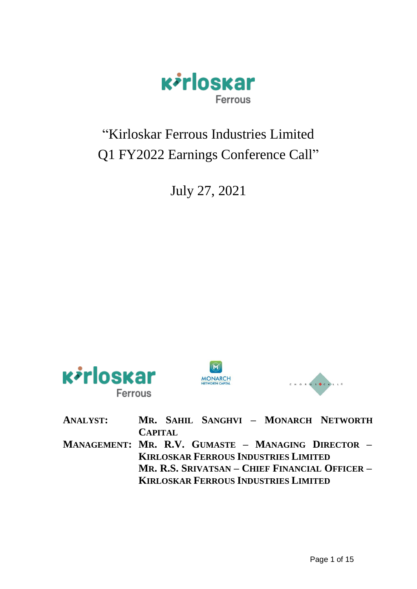

# "Kirloskar Ferrous Industries Limited Q1 FY2022 Earnings Conference Call"

July 27, 2021







| MR. SAHIL SANGHVI - MONARCH NETWORTH               |
|----------------------------------------------------|
| <b>CAPITAL</b>                                     |
| MANAGEMENT: MR. R.V. GUMASTE - MANAGING DIRECTOR - |
| <b>KIRLOSKAR FERROUS INDUSTRIES LIMITED</b>        |
| MR. R.S. SRIVATSAN – CHIEF FINANCIAL OFFICER –     |
| <b>KIRLOSKAR FERROUS INDUSTRIES LIMITED</b>        |
|                                                    |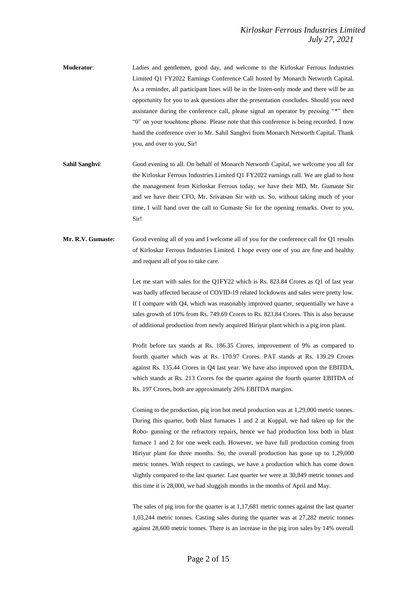- **Moderator**: Ladies and gentlemen, good day, and welcome to the Kirloskar Ferrous Industries Limited Q1 FY2022 Earnings Conference Call hosted by Monarch Networth Capital. As a reminder, all participant lines will be in the listen-only mode and there will be an opportunity for you to ask questions after the presentation concludes. Should you need assistance during the conference call, please signal an operator by pressing "\*" then "0" on your touchtone phone. Please note that this conference is being recorded. I now hand the conference over to Mr. Sahil Sanghvi from Monarch Networth Capital. Thank you, and over to you, Sir!
- **Sahil Sanghvi**: Good evening to all. On behalf of Monarch Networth Capital, we welcome you all for the Kirloskar Ferrous Industries Limited Q1 FY2022 earnings call. We are glad to host the management from Kirloskar Ferrous today, we have their MD, Mr. Gumaste Sir and we have their CFO, Mr. Srivatsan Sir with us. So, without taking much of your time, I will hand over the call to Gumaste Sir for the opening remarks. Over to you, Sir!
- **Mr. R.V. Gumaste:** Good evening all of you and I welcome all of you for the conference call for Q1 results of Kirloskar Ferrous Industries Limited. I hope every one of you are fine and healthy and request all of you to take care.

Let me start with sales for the Q1FY22 which is Rs. 823.84 Crores as Q1 of last year was badly affected because of COVID-19 related lockdowns and sales were pretty low. If I compare with Q4, which was reasonably improved quarter, sequentially we have a sales growth of 10% from Rs. 749.69 Crores to Rs. 823.84 Crores. This is also because of additional production from newly acquired Hiriyur plant which is a pig iron plant.

Profit before tax stands at Rs. 186.35 Crores, improvement of 9% as compared to fourth quarter which was at Rs. 170.97 Crores. PAT stands at Rs. 139.29 Crores against Rs. 135.44 Crores in Q4 last year. We have also improved upon the EBITDA, which stands at Rs. 213 Crores for the quarter against the fourth quarter EBITDA of Rs. 197 Crores, both are approximately 26% EBITDA margins.

Coming to the production, pig iron hot metal production was at 1,29,000 metric tonnes. During this quarter, both blast furnaces 1 and 2 at Koppal, we had taken up for the Robo- gunning or the refractory repairs, hence we had production loss both in blast furnace 1 and 2 for one week each. However, we have full production coming from Hiriyur plant for three months. So, the overall production has gone up to 1,29,000 metric tonnes. With respect to castings, we have a production which has come down slightly compared to the last quarter. Last quarter we were at 30,849 metric tonnes and this time it is 28,000, we had sluggish months in the months of April and May.

The sales of pig iron for the quarter is at 1,17,681 metric tonnes against the last quarter 1,03,244 metric tonnes. Casting sales during the quarter was at 27,282 metric tonnes against 28,600 metric tonnes. There is an increase in the pig iron sales by 14% overall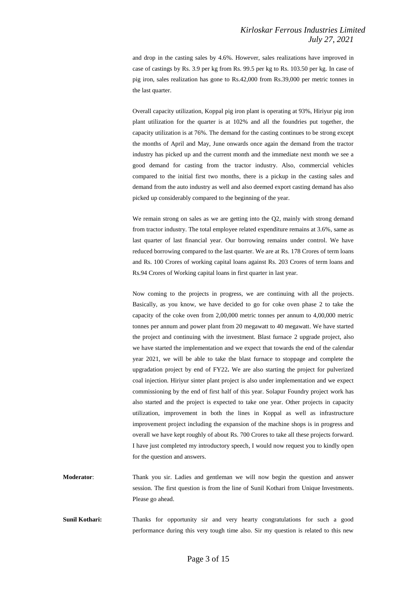and drop in the casting sales by 4.6%. However, sales realizations have improved in case of castings by Rs. 3.9 per kg from Rs. 99.5 per kg to Rs. 103.50 per kg. In case of pig iron, sales realization has gone to Rs.42,000 from Rs.39,000 per metric tonnes in the last quarter.

Overall capacity utilization, Koppal pig iron plant is operating at 93%, Hiriyur pig iron plant utilization for the quarter is at 102% and all the foundries put together, the capacity utilization is at 76%. The demand for the casting continues to be strong except the months of April and May, June onwards once again the demand from the tractor industry has picked up and the current month and the immediate next month we see a good demand for casting from the tractor industry. Also, commercial vehicles compared to the initial first two months, there is a pickup in the casting sales and demand from the auto industry as well and also deemed export casting demand has also picked up considerably compared to the beginning of the year.

We remain strong on sales as we are getting into the Q2, mainly with strong demand from tractor industry. The total employee related expenditure remains at 3.6%, same as last quarter of last financial year. Our borrowing remains under control. We have reduced borrowing compared to the last quarter. We are at Rs. 178 Crores of term loans and Rs. 100 Crores of working capital loans against Rs. 203 Crores of term loans and Rs.94 Crores of Working capital loans in first quarter in last year.

Now coming to the projects in progress, we are continuing with all the projects. Basically, as you know, we have decided to go for coke oven phase 2 to take the capacity of the coke oven from 2,00,000 metric tonnes per annum to 4,00,000 metric tonnes per annum and power plant from 20 megawatt to 40 megawatt. We have started the project and continuing with the investment. Blast furnace 2 upgrade project, also we have started the implementation and we expect that towards the end of the calendar year 2021, we will be able to take the blast furnace to stoppage and complete the upgradation project by end of FY22**.** We are also starting the project for pulverized coal injection. Hiriyur sinter plant project is also under implementation and we expect commissioning by the end of first half of this year. Solapur Foundry project work has also started and the project is expected to take one year. Other projects in capacity utilization, improvement in both the lines in Koppal as well as infrastructure improvement project including the expansion of the machine shops is in progress and overall we have kept roughly of about Rs. 700 Crores to take all these projects forward. I have just completed my introductory speech, I would now request you to kindly open for the question and answers.

**Moderator**: Thank you sir. Ladies and gentleman we will now begin the question and answer session. The first question is from the line of Sunil Kothari from Unique Investments. Please go ahead.

**Sunil Kothari:** Thanks for opportunity sir and very hearty congratulations for such a good performance during this very tough time also. Sir my question is related to this new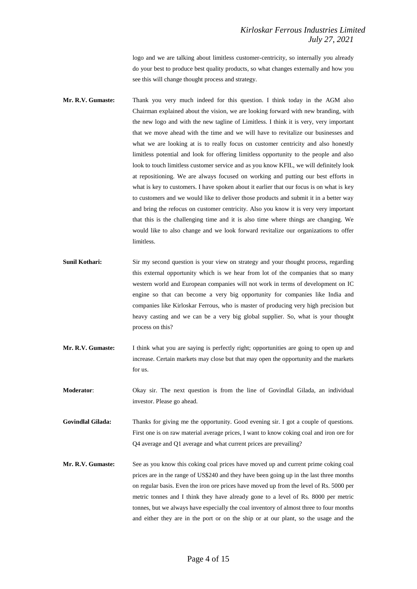logo and we are talking about limitless customer-centricity, so internally you already do your best to produce best quality products, so what changes externally and how you see this will change thought process and strategy.

- **Mr. R.V. Gumaste:** Thank you very much indeed for this question. I think today in the AGM also Chairman explained about the vision, we are looking forward with new branding, with the new logo and with the new tagline of Limitless. I think it is very, very important that we move ahead with the time and we will have to revitalize our businesses and what we are looking at is to really focus on customer centricity and also honestly limitless potential and look for offering limitless opportunity to the people and also look to touch limitless customer service and as you know KFIL, we will definitely look at repositioning. We are always focused on working and putting our best efforts in what is key to customers. I have spoken about it earlier that our focus is on what is key to customers and we would like to deliver those products and submit it in a better way and bring the refocus on customer centricity. Also you know it is very very important that this is the challenging time and it is also time where things are changing. We would like to also change and we look forward revitalize our organizations to offer limitless.
- **Sunil Kothari:** Sir my second question is your view on strategy and your thought process, regarding this external opportunity which is we hear from lot of the companies that so many western world and European companies will not work in terms of development on IC engine so that can become a very big opportunity for companies like India and companies like Kirloskar Ferrous, who is master of producing very high precision but heavy casting and we can be a very big global supplier. So, what is your thought process on this?
- **Mr. R.V. Gumaste:** I think what you are saying is perfectly right; opportunities are going to open up and increase. Certain markets may close but that may open the opportunity and the markets for us.
- **Moderator**: Okay sir. The next question is from the line of Govindlal Gilada, an individual investor. Please go ahead.
- **Govindlal Gilada:** Thanks for giving me the opportunity. Good evening sir. I got a couple of questions. First one is on raw material average prices, I want to know coking coal and iron ore for Q4 average and Q1 average and what current prices are prevailing?
- **Mr. R.V. Gumaste:** See as you know this coking coal prices have moved up and current prime coking coal prices are in the range of US\$240 and they have been going up in the last three months on regular basis. Even the iron ore prices have moved up from the level of Rs. 5000 per metric tonnes and I think they have already gone to a level of Rs. 8000 per metric tonnes, but we always have especially the coal inventory of almost three to four months and either they are in the port or on the ship or at our plant, so the usage and the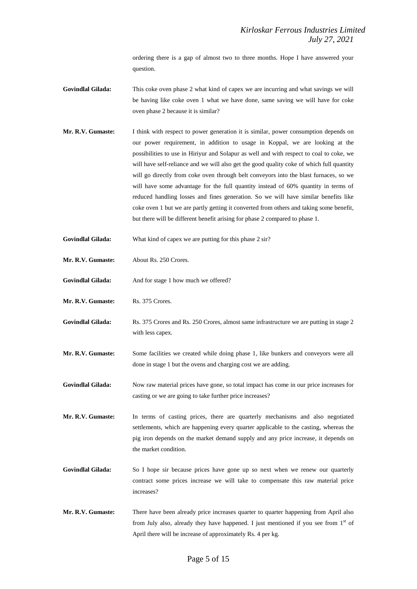ordering there is a gap of almost two to three months. Hope I have answered your question.

- **Govindlal Gilada:** This coke oven phase 2 what kind of capex we are incurring and what savings we will be having like coke oven 1 what we have done, same saving we will have for coke oven phase 2 because it is similar?
- **Mr. R.V. Gumaste:** I think with respect to power generation it is similar, power consumption depends on our power requirement, in addition to usage in Koppal, we are looking at the possibilities to use in Hiriyur and Solapur as well and with respect to coal to coke, we will have self-reliance and we will also get the good quality coke of which full quantity will go directly from coke oven through belt conveyors into the blast furnaces, so we will have some advantage for the full quantity instead of 60% quantity in terms of reduced handling losses and fines generation. So we will have similar benefits like coke oven 1 but we are partly getting it converted from others and taking some benefit, but there will be different benefit arising for phase 2 compared to phase 1.
- **Govindlal Gilada:** What kind of capex we are putting for this phase 2 sir?
- **Mr. R.V. Gumaste:** About Rs. 250 Crores.
- Govindlal Gilada: And for stage 1 how much we offered?
- **Mr. R.V. Gumaste:** Rs. 375 Crores.
- **Govindlal Gilada:** Rs. 375 Crores and Rs. 250 Crores, almost same infrastructure we are putting in stage 2 with less capex.
- **Mr. R.V. Gumaste:** Some facilities we created while doing phase 1, like bunkers and conveyors were all done in stage 1 but the ovens and charging cost we are adding.
- **Govindlal Gilada:** Now raw material prices have gone, so total impact has come in our price increases for casting or we are going to take further price increases?
- **Mr. R.V. Gumaste:** In terms of casting prices, there are quarterly mechanisms and also negotiated settlements, which are happening every quarter applicable to the casting, whereas the pig iron depends on the market demand supply and any price increase, it depends on the market condition.
- **Govindlal Gilada:** So I hope sir because prices have gone up so next when we renew our quarterly contract some prices increase we will take to compensate this raw material price increases?
- **Mr. R.V. Gumaste:** There have been already price increases quarter to quarter happening from April also from July also, already they have happened. I just mentioned if you see from  $1<sup>st</sup>$  of April there will be increase of approximately Rs. 4 per kg.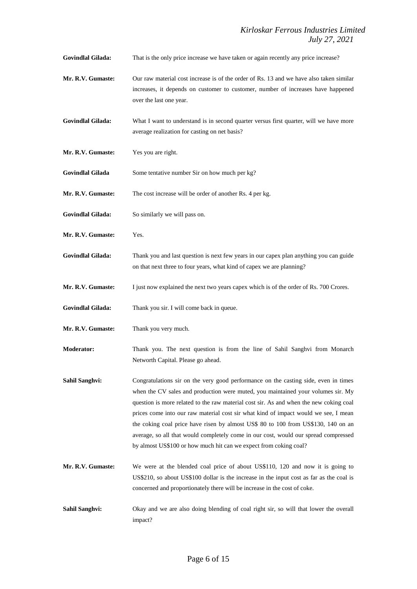**Govindlal Gilada:** That is the only price increase we have taken or again recently any price increase?

- **Mr. R.V. Gumaste:** Our raw material cost increase is of the order of Rs. 13 and we have also taken similar increases, it depends on customer to customer, number of increases have happened over the last one year.
- **Govindlal Gilada:** What I want to understand is in second quarter versus first quarter, will we have more average realization for casting on net basis?
- **Mr. R.V. Gumaste:** Yes you are right.
- **Govindlal Gilada** Some tentative number Sir on how much per kg?

**Mr. R.V. Gumaste:** The cost increase will be order of another Rs. 4 per kg.

- **Govindlal Gilada:** So similarly we will pass on.
- **Mr. R.V. Gumaste:** Yes.
- **Govindlal Gilada:** Thank you and last question is next few years in our capex plan anything you can guide on that next three to four years, what kind of capex we are planning?
- **Mr. R.V. Gumaste:** I just now explained the next two years capex which is of the order of Rs. 700 Crores.
- **Govindlal Gilada:** Thank you sir. I will come back in queue.
- **Mr. R.V. Gumaste:** Thank you very much.
- **Moderator:** Thank you. The next question is from the line of Sahil Sanghvi from Monarch Networth Capital. Please go ahead.
- Sahil Sanghvi: Congratulations sir on the very good performance on the casting side, even in times when the CV sales and production were muted, you maintained your volumes sir. My question is more related to the raw material cost sir. As and when the new coking coal prices come into our raw material cost sir what kind of impact would we see, I mean the coking coal price have risen by almost US\$ 80 to 100 from US\$130, 140 on an average, so all that would completely come in our cost, would our spread compressed by almost US\$100 or how much hit can we expect from coking coal?
- **Mr. R.V. Gumaste:** We were at the blended coal price of about US\$110, 120 and now it is going to US\$210, so about US\$100 dollar is the increase in the input cost as far as the coal is concerned and proportionately there will be increase in the cost of coke.
- **Sahil Sanghvi:** Okay and we are also doing blending of coal right sir, so will that lower the overall impact?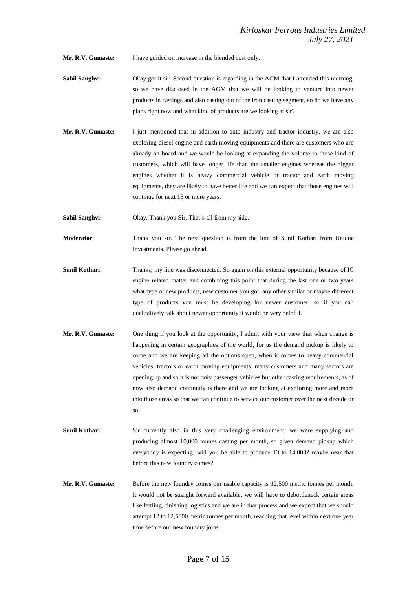**Mr. R.V. Gumaste:** I have guided on increase in the blended cost only.

- **Sahil Sanghvi:** Okay got it sir. Second question is regarding in the AGM that I attended this morning, so we have disclosed in the AGM that we will be looking to venture into newer products in castings and also casting out of the iron casting segment, so do we have any plans right now and what kind of products are we looking at sir?
- **Mr. R.V. Gumaste:** I just mentioned that in addition to auto industry and tractor industry, we are also exploring diesel engine and earth moving equipments and there are customers who are already on board and we would be looking at expanding the volume in those kind of customers, which will have longer life than the smaller engines whereas the bigger engines whether it is heavy commercial vehicle or tractor and earth moving equipments, they are likely to have better life and we can expect that those engines will continue for next 15 or more years.
- **Sahil Sanghvi:** Okay. Thank you Sir. That's all from my side.
- **Moderator**: Thank you sir. The next question is from the line of Sunil Kothari from Unique Investments. Please go ahead.
- **Sunil Kothari:** Thanks, my line was disconnected. So again on this external opportunity because of IC engine related matter and combining this point that during the last one or two years what type of new products, new customer you got, any other similar or maybe different type of products you must be developing for newer customer, so if you can qualitatively talk about newer opportunity it would be very helpful.
- **Mr. R.V. Gumaste:** One thing if you look at the opportunity, I admit with your view that when change is happening in certain geographies of the world, for us the demand pickup is likely to come and we are keeping all the options open, when it comes to heavy commercial vehicles, tractors or earth moving equipments, many customers and many sectors are opening up and so it is not only passenger vehicles but other casting requirements, as of now also demand continuity is there and we are looking at exploring more and more into those areas so that we can continue to service our customer over the next decade or so.
- **Sunil Kothari:** Sir currently also in this very challenging environment, we were supplying and producing almost 10,000 tonnes casting per month, so given demand pickup which everybody is expecting, will you be able to produce 13 to 14,000? maybe near that before this new foundry comes?
- **Mr. R.V. Gumaste:** Before the new foundry comes our usable capacity is 12,500 metric tonnes per month. It would not be straight forward available, we will have to debottleneck certain areas like fettling, finishing logistics and we are in that process and we expect that we should attempt 12 to 12,5000 metric tonnes per month, reaching that level within next one year time before our new foundry joins.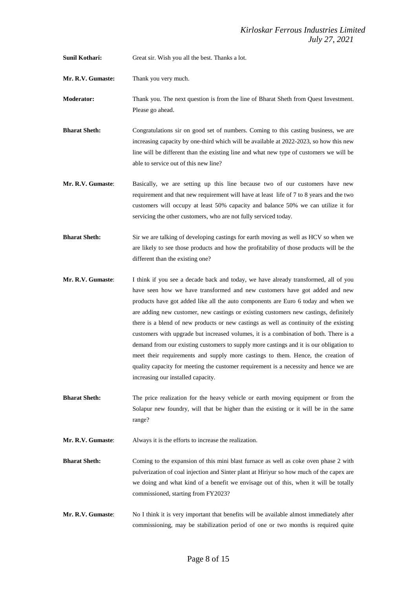**Sunil Kothari:** Great sir. Wish you all the best. Thanks a lot.

**Mr. R.V. Gumaste:** Thank you very much.

**Moderator:** Thank you. The next question is from the line of Bharat Sheth from Quest Investment. Please go ahead.

**Bharat Sheth:** Congratulations sir on good set of numbers. Coming to this casting business, we are increasing capacity by one-third which will be available at 2022-2023, so how this new line will be different than the existing line and what new type of customers we will be able to service out of this new line?

- **Mr. R.V. Gumaste**: Basically, we are setting up this line because two of our customers have new requirement and that new requirement will have at least life of 7 to 8 years and the two customers will occupy at least 50% capacity and balance 50% we can utilize it for servicing the other customers, who are not fully serviced today.
- **Bharat Sheth:** Sir we are talking of developing castings for earth moving as well as HCV so when we are likely to see those products and how the profitability of those products will be the different than the existing one?
- **Mr. R.V. Gumaste**: I think if you see a decade back and today, we have already transformed, all of you have seen how we have transformed and new customers have got added and new products have got added like all the auto components are Euro 6 today and when we are adding new customer, new castings or existing customers new castings, definitely there is a blend of new products or new castings as well as continuity of the existing customers with upgrade but increased volumes, it is a combination of both. There is a demand from our existing customers to supply more castings and it is our obligation to meet their requirements and supply more castings to them. Hence, the creation of quality capacity for meeting the customer requirement is a necessity and hence we are increasing our installed capacity.
- **Bharat Sheth:** The price realization for the heavy vehicle or earth moving equipment or from the Solapur new foundry, will that be higher than the existing or it will be in the same range?

**Mr. R.V. Gumaste**: Always it is the efforts to increase the realization.

**Bharat Sheth:** Coming to the expansion of this mini blast furnace as well as coke oven phase 2 with pulverization of coal injection and Sinter plant at Hiriyur so how much of the capex are we doing and what kind of a benefit we envisage out of this, when it will be totally commissioned, starting from FY2023?

**Mr. R.V. Gumaste**: No I think it is very important that benefits will be available almost immediately after commissioning, may be stabilization period of one or two months is required quite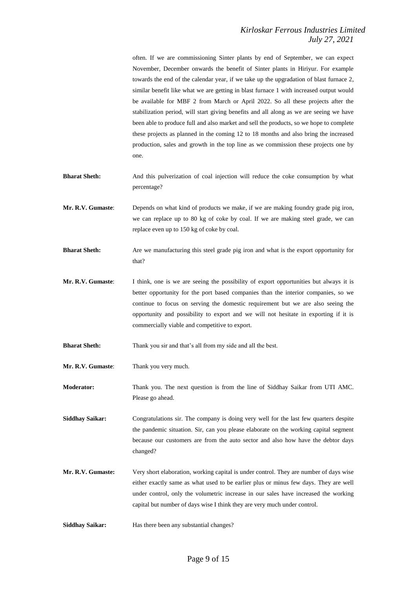often. If we are commissioning Sinter plants by end of September, we can expect November, December onwards the benefit of Sinter plants in Hiriyur. For example towards the end of the calendar year, if we take up the upgradation of blast furnace 2, similar benefit like what we are getting in blast furnace 1 with increased output would be available for MBF 2 from March or April 2022. So all these projects after the stabilization period, will start giving benefits and all along as we are seeing we have been able to produce full and also market and sell the products, so we hope to complete these projects as planned in the coming 12 to 18 months and also bring the increased production, sales and growth in the top line as we commission these projects one by one.

- **Bharat Sheth:** And this pulverization of coal injection will reduce the coke consumption by what percentage?
- **Mr. R.V. Gumaste**: Depends on what kind of products we make, if we are making foundry grade pig iron, we can replace up to 80 kg of coke by coal. If we are making steel grade, we can replace even up to 150 kg of coke by coal.
- **Bharat Sheth:** Are we manufacturing this steel grade pig iron and what is the export opportunity for that?
- **Mr. R.V. Gumaste**: I think, one is we are seeing the possibility of export opportunities but always it is better opportunity for the port based companies than the interior companies, so we continue to focus on serving the domestic requirement but we are also seeing the opportunity and possibility to export and we will not hesitate in exporting if it is commercially viable and competitive to export.

**Bharat Sheth:** Thank you sir and that's all from my side and all the best.

**Mr. R.V. Gumaste**: Thank you very much.

**Moderator:** Thank you. The next question is from the line of Siddhay Saikar from UTI AMC. Please go ahead.

**Siddhay Saikar:** Congratulations sir. The company is doing very well for the last few quarters despite the pandemic situation. Sir, can you please elaborate on the working capital segment because our customers are from the auto sector and also how have the debtor days changed?

- **Mr. R.V. Gumaste:** Very short elaboration, working capital is under control. They are number of days wise either exactly same as what used to be earlier plus or minus few days. They are well under control, only the volumetric increase in our sales have increased the working capital but number of days wise I think they are very much under control.
- Siddhay Saikar: Has there been any substantial changes?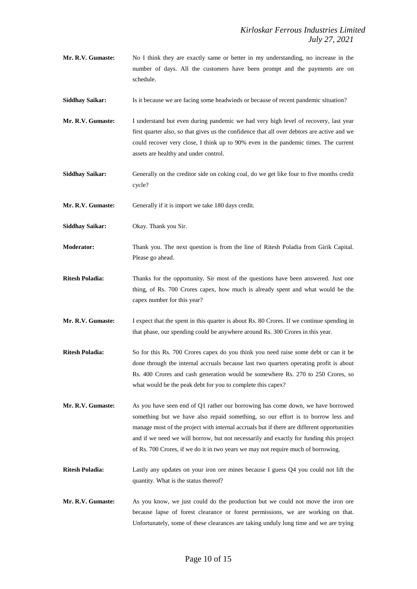**Mr. R.V. Gumaste:** No I think they are exactly same or better in my understanding, no increase in the number of days. All the customers have been prompt and the payments are on schedule.

**Siddhay Saikar:** Is it because we are facing some headwinds or because of recent pandemic situation?

- **Mr. R.V. Gumaste:** I understand but even during pandemic we had very high level of recovery, last year first quarter also, so that gives us the confidence that all over debtors are active and we could recover very close, I think up to 90% even in the pandemic times. The current assets are healthy and under control.
- Siddhay Saikar: Generally on the creditor side on coking coal, do we get like four to five months credit cycle?

Mr. R.V. Gumaste: Generally if it is import we take 180 days credit.

**Siddhay Saikar:** Okay. Thank you Sir.

- **Moderator:** Thank you. The next question is from the line of Ritesh Poladia from Girik Capital. Please go ahead.
- **Ritesh Poladia:** Thanks for the opportunity. Sir most of the questions have been answered. Just one thing, of Rs. 700 Crores capex, how much is already spent and what would be the capex number for this year?
- **Mr. R.V. Gumaste:** I expect that the spent in this quarter is about Rs. 80 Crores. If we continue spending in that phase, our spending could be anywhere around Rs. 300 Crores in this year.
- **Ritesh Poladia:** So for this Rs. 700 Crores capex do you think you need raise some debt or can it be done through the internal accruals because last two quarters operating profit is about Rs. 400 Crores and cash generation would be somewhere Rs. 270 to 250 Crores, so what would be the peak debt for you to complete this capex?
- **Mr. R.V. Gumaste:** As you have seen end of Q1 rather our borrowing has come down, we have borrowed something but we have also repaid something, so our effort is to borrow less and manage most of the project with internal accruals but if there are different opportunities and if we need we will borrow, but not necessarily and exactly for funding this project of Rs. 700 Crores, if we do it in two years we may not require much of borrowing.
- **Ritesh Poladia:** Lastly any updates on your iron ore mines because I guess Q4 you could not lift the quantity. What is the status thereof?
- **Mr. R.V. Gumaste:** As you know, we just could do the production but we could not move the iron ore because lapse of forest clearance or forest permissions, we are working on that. Unfortunately, some of these clearances are taking unduly long time and we are trying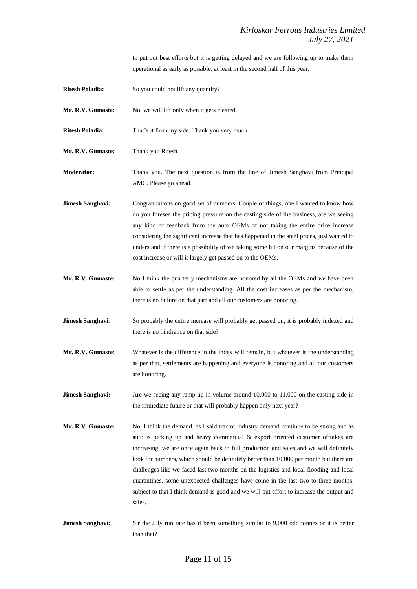to put out best efforts but it is getting delayed and we are following up to make them operational as early as possible, at least in the second half of this year.

**Ritesh Poladia:** So you could not lift any quantity?

Mr. R.V. Gumaste: No, we will lift only when it gets cleared.

**Ritesh Poladia:** That's it from my side. Thank you very much.

**Mr. R.V. Gumaste:** Thank you Ritesh.

**Moderator:** Thank you. The next question is from the line of Jimesh Sanghavi from Principal AMC. Please go ahead.

**Jimesh Sanghavi:** Congratulations on good set of numbers. Couple of things, one I wanted to know how do you foresee the pricing pressure on the casting side of the business, are we seeing any kind of feedback from the auto OEMs of not taking the entire price increase considering the significant increase that has happened in the steel prices, just wanted to understand if there is a possibility of we taking some hit on our margins because of the cost increase or will it largely get passed on to the OEMs.

- **Mr. R.V. Gumaste:** No I think the quarterly mechanisms are honored by all the OEMs and we have been able to settle as per the understanding. All the cost increases as per the mechanism, there is no failure on that part and all our customers are honoring.
- **Jimesh Sanghavi:** So probably the entire increase will probably get passed on, it is probably indexed and there is no hindrance on that side?
- **Mr. R.V. Gumaste**: Whatever is the difference in the index will remain, but whatever is the understanding as per that, settlements are happening and everyone is honoring and all our customers are honoring.
- **Jimesh Sanghavi:** Are we seeing any ramp up in volume around 10,000 to 11,000 on the casting side in the immediate future or that will probably happen only next year?
- **Mr. R.V. Gumaste:** No, I think the demand, as I said tractor industry demand continue to be strong and as auto is picking up and heavy commercial & export oriented customer offtakes are increasing, we are once again back to full production and sales and we will definitely look for numbers, which should be definitely better than 10,000 per month but there are challenges like we faced last two months on the logistics and local flooding and local quarantines, some unexpected challenges have come in the last two to three months, subject to that I think demand is good and we will put effort to increase the output and sales.
- **Jimesh Sanghavi:** Sir the July run rate has it been something similar to 9,000 odd tonnes or it is better than that?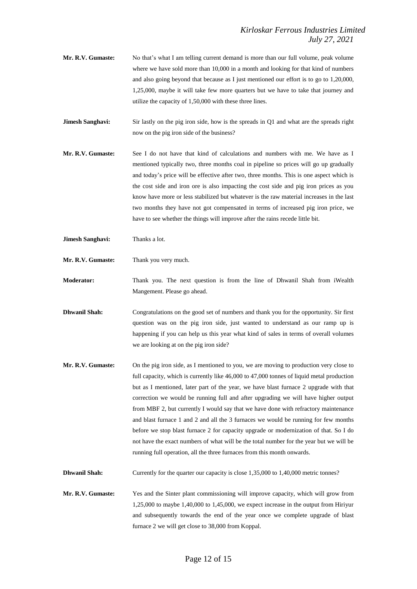- **Mr. R.V. Gumaste:** No that's what I am telling current demand is more than our full volume, peak volume where we have sold more than 10,000 in a month and looking for that kind of numbers and also going beyond that because as I just mentioned our effort is to go to 1,20,000, 1,25,000, maybe it will take few more quarters but we have to take that journey and utilize the capacity of 1,50,000 with these three lines.
- **Jimesh Sanghavi:** Sir lastly on the pig iron side, how is the spreads in Q1 and what are the spreads right now on the pig iron side of the business?
- **Mr. R.V. Gumaste:** See I do not have that kind of calculations and numbers with me. We have as I mentioned typically two, three months coal in pipeline so prices will go up gradually and today's price will be effective after two, three months. This is one aspect which is the cost side and iron ore is also impacting the cost side and pig iron prices as you know have more or less stabilized but whatever is the raw material increases in the last two months they have not got compensated in terms of increased pig iron price, we have to see whether the things will improve after the rains recede little bit.
- **Jimesh Sanghavi:** Thanks a lot.
- **Mr. R.V. Gumaste:** Thank you very much.

**Moderator:** Thank you. The next question is from the line of Dhwanil Shah from iWealth Mangement. Please go ahead.

- **Dhwanil Shah:** Congratulations on the good set of numbers and thank you for the opportunity. Sir first question was on the pig iron side, just wanted to understand as our ramp up is happening if you can help us this year what kind of sales in terms of overall volumes we are looking at on the pig iron side?
- **Mr. R.V. Gumaste:** On the pig iron side, as I mentioned to you, we are moving to production very close to full capacity, which is currently like 46,000 to 47,000 tonnes of liquid metal production but as I mentioned, later part of the year, we have blast furnace 2 upgrade with that correction we would be running full and after upgrading we will have higher output from MBF 2, but currently I would say that we have done with refractory maintenance and blast furnace 1 and 2 and all the 3 furnaces we would be running for few months before we stop blast furnace 2 for capacity upgrade or modernization of that. So I do not have the exact numbers of what will be the total number for the year but we will be running full operation, all the three furnaces from this month onwards.

**Dhwanil Shah:** Currently for the quarter our capacity is close 1,35,000 to 1,40,000 metric tonnes?

**Mr. R.V. Gumaste:** Yes and the Sinter plant commissioning will improve capacity, which will grow from 1,25,000 to maybe 1,40,000 to 1,45,000, we expect increase in the output from Hiriyur and subsequently towards the end of the year once we complete upgrade of blast furnace 2 we will get close to 38,000 from Koppal.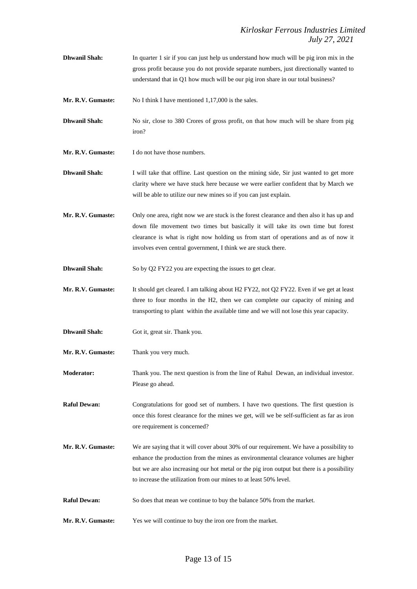- **Dhwanil Shah:** In quarter 1 sir if you can just help us understand how much will be pig iron mix in the gross profit because you do not provide separate numbers, just directionally wanted to understand that in Q1 how much will be our pig iron share in our total business?
- **Mr. R.V. Gumaste:** No I think I have mentioned 1,17,000 is the sales.
- **Dhwanil Shah:** No sir, close to 380 Crores of gross profit, on that how much will be share from pig iron?
- **Mr. R.V. Gumaste:** I do not have those numbers.
- **Dhwanil Shah:** I will take that offline. Last question on the mining side, Sir just wanted to get more clarity where we have stuck here because we were earlier confident that by March we will be able to utilize our new mines so if you can just explain.
- **Mr. R.V. Gumaste:** Only one area, right now we are stuck is the forest clearance and then also it has up and down file movement two times but basically it will take its own time but forest clearance is what is right now holding us from start of operations and as of now it involves even central government, I think we are stuck there.
- **Dhwanil Shah:** So by Q2 FY22 you are expecting the issues to get clear.
- **Mr. R.V. Gumaste:** It should get cleared. I am talking about H2 FY22, not Q2 FY22. Even if we get at least three to four months in the H2, then we can complete our capacity of mining and transporting to plant within the available time and we will not lose this year capacity.
- **Dhwanil Shah:** Got it, great sir. Thank you.
- **Mr. R.V. Gumaste:** Thank you very much.
- **Moderator:** Thank you. The next question is from the line of Rahul Dewan, an individual investor. Please go ahead.
- **Raful Dewan:** Congratulations for good set of numbers. I have two questions. The first question is once this forest clearance for the mines we get, will we be self-sufficient as far as iron ore requirement is concerned?
- **Mr. R.V. Gumaste:** We are saying that it will cover about 30% of our requirement. We have a possibility to enhance the production from the mines as environmental clearance volumes are higher but we are also increasing our hot metal or the pig iron output but there is a possibility to increase the utilization from our mines to at least 50% level.
- **Raful Dewan:** So does that mean we continue to buy the balance 50% from the market.
- **Mr. R.V. Gumaste:** Yes we will continue to buy the iron ore from the market.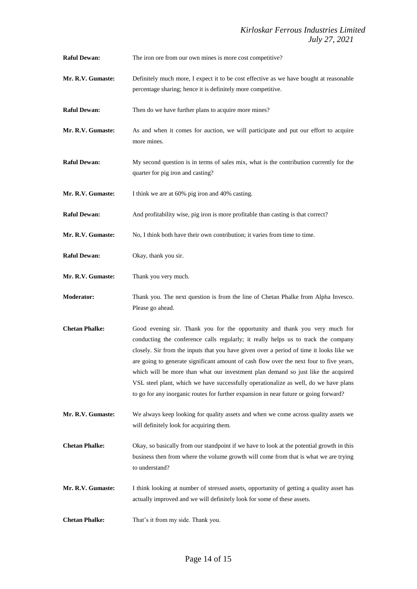**Raful Dewan:** The iron ore from our own mines is more cost competitive?

- **Mr. R.V. Gumaste:** Definitely much more, I expect it to be cost effective as we have bought at reasonable percentage sharing; hence it is definitely more competitive.
- **Raful Dewan:** Then do we have further plans to acquire more mines?
- **Mr. R.V. Gumaste:** As and when it comes for auction, we will participate and put our effort to acquire more mines.
- **Raful Dewan:** My second question is in terms of sales mix, what is the contribution currently for the quarter for pig iron and casting?
- **Mr. R.V. Gumaste:** I think we are at 60% pig iron and 40% casting.
- **Raful Dewan:** And profitability wise, pig iron is more profitable than casting is that correct?
- **Mr. R.V. Gumaste:** No, I think both have their own contribution; it varies from time to time.
- **Raful Dewan:** Okay, thank you sir.
- **Mr. R.V. Gumaste:** Thank you very much.
- **Moderator:** Thank you. The next question is from the line of Chetan Phalke from Alpha Invesco. Please go ahead.
- **Chetan Phalke:** Good evening sir. Thank you for the opportunity and thank you very much for conducting the conference calls regularly; it really helps us to track the company closely. Sir from the inputs that you have given over a period of time it looks like we are going to generate significant amount of cash flow over the next four to five years, which will be more than what our investment plan demand so just like the acquired VSL steel plant, which we have successfully operationalize as well, do we have plans to go for any inorganic routes for further expansion in near future or going forward?
- **Mr. R.V. Gumaste:** We always keep looking for quality assets and when we come across quality assets we will definitely look for acquiring them.
- **Chetan Phalke:** Okay, so basically from our standpoint if we have to look at the potential growth in this business then from where the volume growth will come from that is what we are trying to understand?
- **Mr. R.V. Gumaste:** I think looking at number of stressed assets, opportunity of getting a quality asset has actually improved and we will definitely look for some of these assets.
- **Chetan Phalke:** That's it from my side. Thank you.